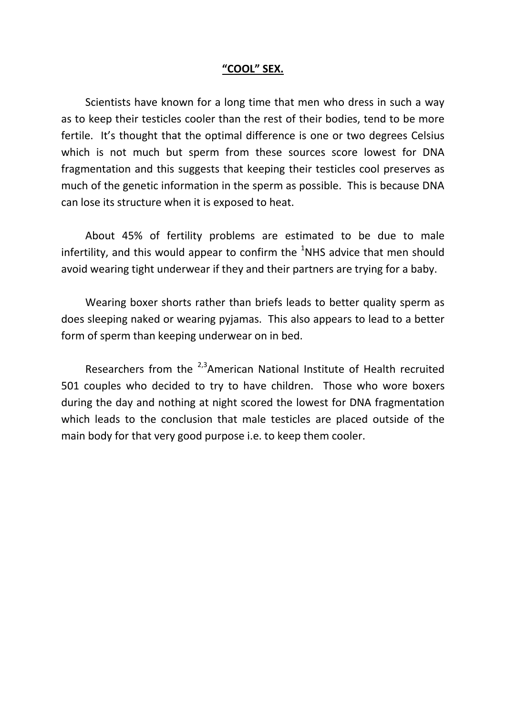### **"COOL" SEX.**

Scientists have known for a long time that men who dress in such a way as to keep their testicles cooler than the rest of their bodies, tend to be more fertile. It's thought that the optimal difference is one or two degrees Celsius which is not much but sperm from these sources score lowest for DNA fragmentation and this suggests that keeping their testicles cool preserves as much of the genetic information in the sperm as possible. This is because DNA can lose its structure when it is exposed to heat.

About 45% of fertility problems are estimated to be due to male infertility, and this would appear to confirm the  $1$ NHS advice that men should avoid wearing tight underwear if they and their partners are trying for a baby.

Wearing boxer shorts rather than briefs leads to better quality sperm as does sleeping naked or wearing pyjamas. This also appears to lead to a better form of sperm than keeping underwear on in bed.

Researchers from the  $2.3$ American National Institute of Health recruited 501 couples who decided to try to have children. Those who wore boxers during the day and nothing at night scored the lowest for DNA fragmentation which leads to the conclusion that male testicles are placed outside of the main body for that very good purpose i.e. to keep them cooler.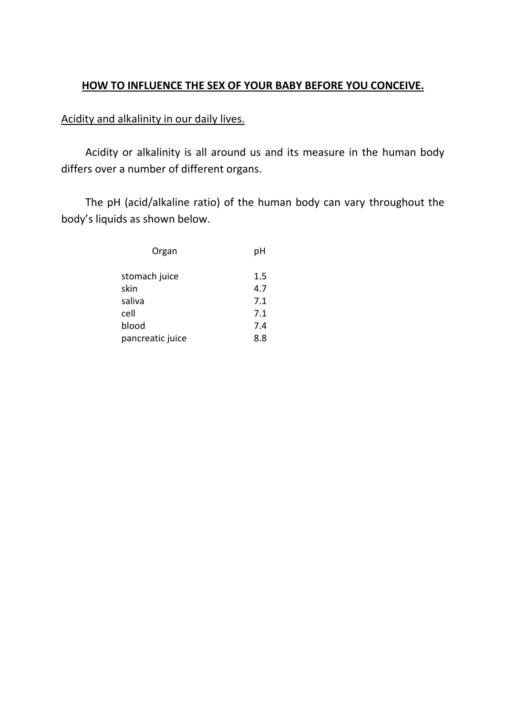## **HOW TO INFLUENCE THE SEX OF YOUR BABY BEFORE YOU CONCEIVE.**

## Acidity and alkalinity in our daily lives.

Acidity or alkalinity is all around us and its measure in the human body differs over a number of different organs.

The pH (acid/alkaline ratio) of the human body can vary throughout the body's liquids as shown below.

| Organ            | рH  |
|------------------|-----|
| stomach juice    | 1.5 |
| skin             | 4.7 |
| saliva           | 7.1 |
| cell             | 7.1 |
| blood            | 7.4 |
| pancreatic juice | 8.8 |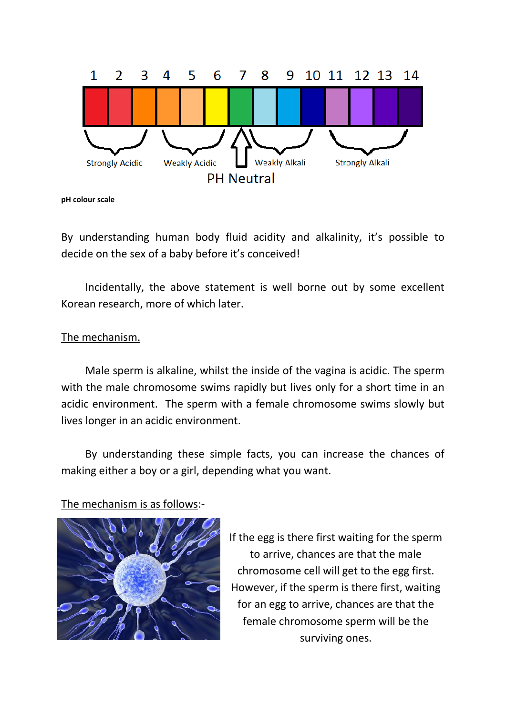

**pH colour scale**

By understanding human body fluid acidity and alkalinity, it's possible to decide on the sex of a baby before it's conceived!

Incidentally, the above statement is well borne out by some excellent Korean research, more of which later.

## The mechanism.

Male sperm is alkaline, whilst the inside of the vagina is acidic. The sperm with the male chromosome swims rapidly but lives only for a short time in an acidic environment. The sperm with a female chromosome swims slowly but lives longer in an acidic environment.

By understanding these simple facts, you can increase the chances of making either a boy or a girl, depending what you want.

## The mechanism is as follows:-



If the egg is there first waiting for the sperm to arrive, chances are that the male chromosome cell will get to the egg first. However, if the sperm is there first, waiting for an egg to arrive, chances are that the female chromosome sperm will be the surviving ones.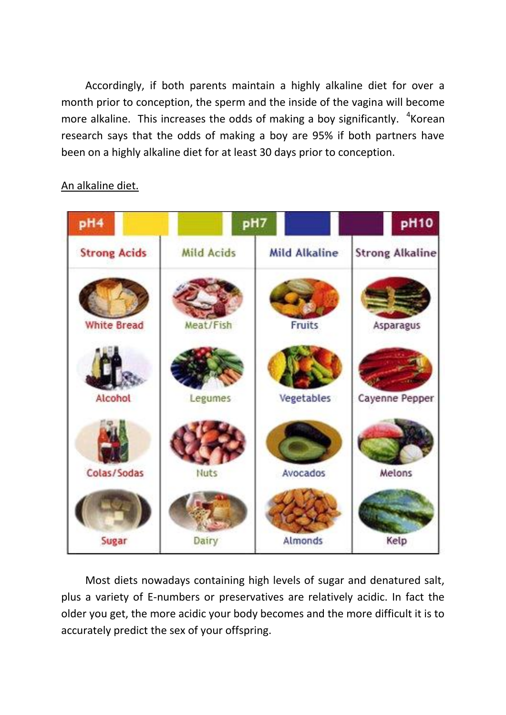Accordingly, if both parents maintain a highly alkaline diet for over a month prior to conception, the sperm and the inside of the vagina will become more alkaline. This increases the odds of making a boy significantly.  $4\text{Korean}$ research says that the odds of making a boy are 95% if both partners have been on a highly alkaline diet for at least 30 days prior to conception.

# pH7 pH10 pH<sub>4</sub> **Strong Acids Mild Acids Mild Alkaline Strong Alkaline** Meat/Fish **White Bread Fruits** Asparagus Alcohol Legumes Vegetables Cayenne Pepper Colas/Sodas Avocados Melons Nuts Sugar Dairy Almonds Kelp

## An alkaline diet.

Most diets nowadays containing high levels of sugar and denatured salt, plus a variety of E-numbers or preservatives are relatively acidic. In fact the older you get, the more acidic your body becomes and the more difficult it is to accurately predict the sex of your offspring.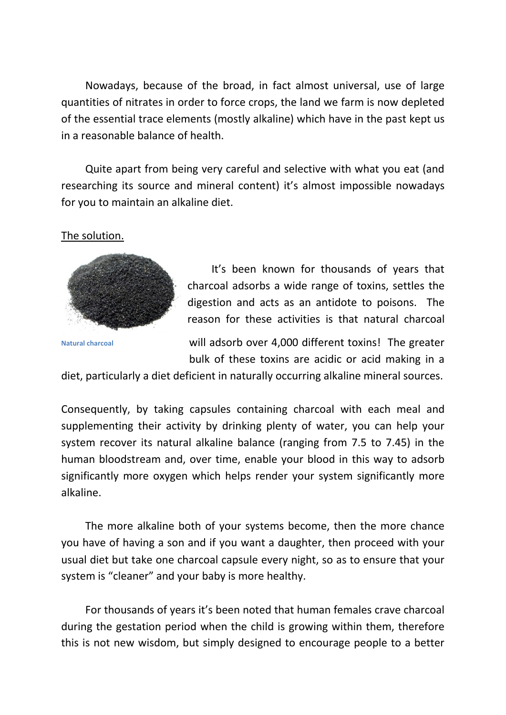Nowadays, because of the broad, in fact almost universal, use of large quantities of nitrates in order to force crops, the land we farm is now depleted of the essential trace elements (mostly alkaline) which have in the past kept us in a reasonable balance of health.

Quite apart from being very careful and selective with what you eat (and researching its source and mineral content) it's almost impossible nowadays for you to maintain an alkaline diet.

### The solution.



It's been known for thousands of years that charcoal adsorbs a wide range of toxins, settles the digestion and acts as an antidote to poisons. The reason for these activities is that natural charcoal

**Natural charcoal**

will adsorb over 4,000 different toxins! The greater bulk of these toxins are acidic or acid making in a

diet, particularly a diet deficient in naturally occurring alkaline mineral sources.

Consequently, by taking capsules containing charcoal with each meal and supplementing their activity by drinking plenty of water, you can help your system recover its natural alkaline balance (ranging from 7.5 to 7.45) in the human bloodstream and, over time, enable your blood in this way to adsorb significantly more oxygen which helps render your system significantly more alkaline.

The more alkaline both of your systems become, then the more chance you have of having a son and if you want a daughter, then proceed with your usual diet but take one charcoal capsule every night, so as to ensure that your system is "cleaner" and your baby is more healthy.

For thousands of years it's been noted that human females crave charcoal during the gestation period when the child is growing within them, therefore this is not new wisdom, but simply designed to encourage people to a better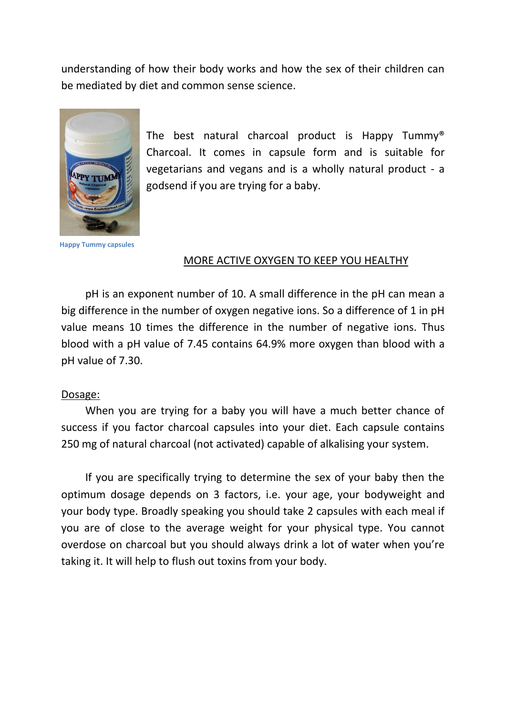understanding of how their body works and how the sex of their children can be mediated by diet and common sense science.



The best natural charcoal product is Happy Tummy® Charcoal. It comes in capsule form and is suitable for vegetarians and vegans and is a wholly natural product - a godsend if you are trying for a baby.

**Happy Tummy capsules**

### MORE ACTIVE OXYGEN TO KEEP YOU HEALTHY

pH is an exponent number of 10. A small difference in the pH can mean a big difference in the number of oxygen negative ions. So a difference of 1 in pH value means 10 times the difference in the number of negative ions. Thus blood with a pH value of 7.45 contains 64.9% more oxygen than blood with a pH value of 7.30.

#### Dosage:

When you are trying for a baby you will have a much better chance of success if you factor charcoal capsules into your diet. Each capsule contains 250 mg of natural charcoal (not activated) capable of alkalising your system.

If you are specifically trying to determine the sex of your baby then the optimum dosage depends on 3 factors, i.e. your age, your bodyweight and your body type. Broadly speaking you should take 2 capsules with each meal if you are of close to the average weight for your physical type. You cannot overdose on charcoal but you should always drink a lot of water when you're taking it. It will help to flush out toxins from your body.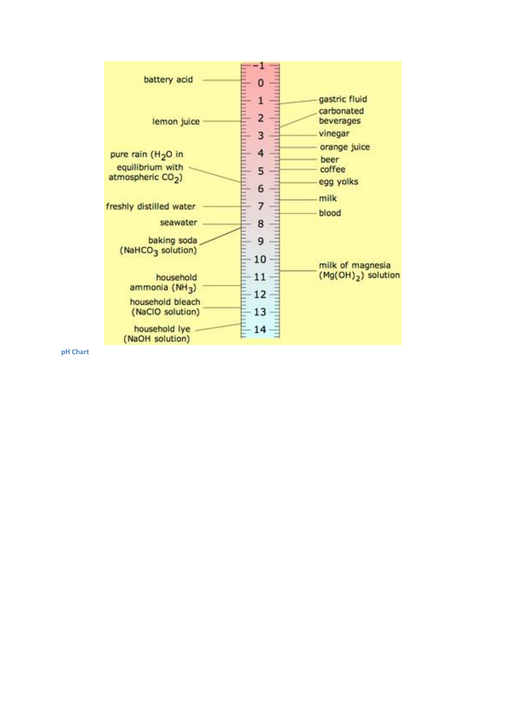

**pH Chart**